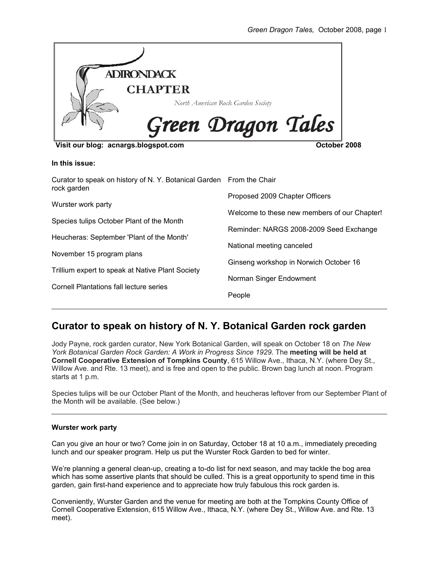

## **In this issue:**

| Curator to speak on history of N.Y. Botanical Garden From the Chair<br>rock garden |                                              |
|------------------------------------------------------------------------------------|----------------------------------------------|
|                                                                                    | Proposed 2009 Chapter Officers               |
| Wurster work party                                                                 | Welcome to these new members of our Chapter! |
| Species tulips October Plant of the Month                                          | Reminder: NARGS 2008-2009 Seed Exchange      |
| Heucheras: September 'Plant of the Month'                                          | National meeting canceled                    |
| November 15 program plans                                                          |                                              |
| Trillium expert to speak at Native Plant Society                                   | Ginseng workshop in Norwich October 16       |
|                                                                                    | Norman Singer Endowment                      |
| Cornell Plantations fall lecture series                                            | People                                       |

# **Curator to speak on history of N. Y. Botanical Garden rock garden**

Jody Payne, rock garden curator, New York Botanical Garden, will speak on October 18 on *The New York Botanical Garden Rock Garden: A Work in Progress Since 1929*. The **meeting will be held at Cornell Cooperative Extension of Tompkins County**, 615 Willow Ave., Ithaca, N.Y. (where Dey St., Willow Ave. and Rte. 13 meet), and is free and open to the public. Brown bag lunch at noon. Program starts at 1 p.m.

Species tulips will be our October Plant of the Month, and heucheras leftover from our September Plant of the Month will be available. (See below.)

## **Wurster work party**

Can you give an hour or two? Come join in on Saturday, October 18 at 10 a.m., immediately preceding lunch and our speaker program. Help us put the Wurster Rock Garden to bed for winter.

We're planning a general clean-up, creating a to-do list for next season, and may tackle the bog area which has some assertive plants that should be culled. This is a great opportunity to spend time in this garden, gain first-hand experience and to appreciate how truly fabulous this rock garden is.

Conveniently, Wurster Garden and the venue for meeting are both at the Tompkins County Office of Cornell Cooperative Extension, 615 Willow Ave., Ithaca, N.Y. (where Dey St., Willow Ave. and Rte. 13 meet).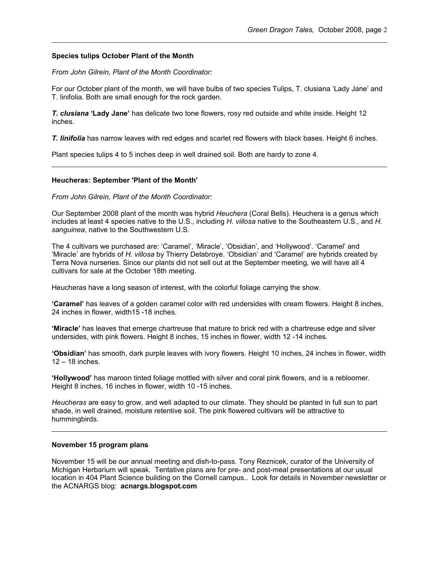## **Species tulips October Plant of the Month**

*From John Gilrein, Plant of the Month Coordinator:*

For our October plant of the month, we will have bulbs of two species Tulips, T. clusiana 'Lady Jane' and T. linifolia. Both are small enough for the rock garden.

*T. clusiana* **'Lady Jane'** has delicate two tone flowers, rosy red outside and white inside. Height 12 inches.

*T. linifolia* has narrow leaves with red edges and scarlet red flowers with black bases. Height 6 inches.

Plant species tulips 4 to 5 inches deep in well drained soil. Both are hardy to zone 4.

## **Heucheras: September 'Plant of the Month'**

*From John Gilrein, Plant of the Month Coordinator:*

Our September 2008 plant of the month was hybrid *Heuchera* (Coral Bells). Heuchera is a genus which includes at least 4 species native to the U.S., including *H. villosa* native to the Southeastern U.S., and *H. sanguinea*, native to the Southwestern U.S.

The 4 cultivars we purchased are: 'Caramel', 'Miracle', 'Obsidian', and 'Hollywood'. 'Caramel' and 'Miracle' are hybrids of *H. villosa* by Thierry Delabroye. 'Obsidian' and 'Caramel' are hybrids created by Terra Nova nurseries. Since our plants did not sell out at the September meeting, we will have all 4 cultivars for sale at the October 18th meeting.

Heucheras have a long season of interest, with the colorful foliage carrying the show.

**'Caramel'** has leaves of a golden caramel color with red undersides with cream flowers. Height 8 inches, 24 inches in flower, width15 -18 inches.

**'Miracle'** has leaves that emerge chartreuse that mature to brick red with a chartreuse edge and silver undersides, with pink flowers. Height 8 inches, 15 inches in flower, width 12 -14 inches.

**'Obsidian'** has smooth, dark purple leaves with ivory flowers. Height 10 inches, 24 inches in flower, width 12 – 18 inches.

**'Hollywood'** has maroon tinted foliage mottled with silver and coral pink flowers, and is a rebloomer. Height 8 inches, 16 inches in flower, width 10 -15 inches.

*Heucheras* are easy to grow, and well adapted to our climate. They should be planted in full sun to part shade, in well drained, moisture retentive soil. The pink flowered cultivars will be attractive to hummingbirds.

## **November 15 program plans**

November 15 will be our annual meeting and dish-to-pass. Tony Reznicek, curator of the University of Michigan Herbarium will speak. Tentative plans are for pre- and post-meal presentations at our usual location in 404 Plant Science building on the Cornell campus.. Look for details in November newsletter or the ACNARGS blog: **acnargs.blogspot.com**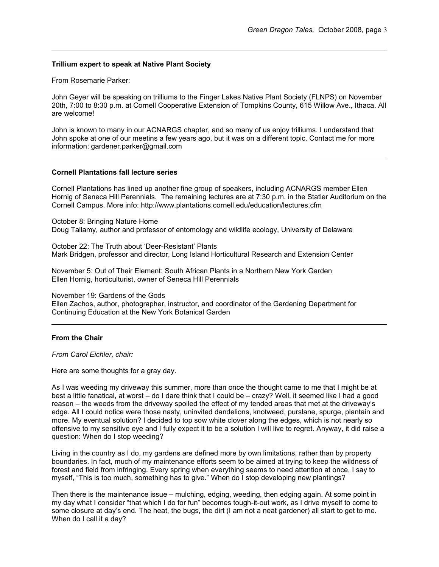## **Trillium expert to speak at Native Plant Society**

From Rosemarie Parker:

John Geyer will be speaking on trilliums to the Finger Lakes Native Plant Society (FLNPS) on November 20th, 7:00 to 8:30 p.m. at Cornell Cooperative Extension of Tompkins County, 615 Willow Ave., Ithaca. All are welcome! Green Dragon Tales, October 2008, pa<br> **Trillium expert to speak at Native Plant Society**<br>
From Rosemarie Parker:<br>
John Geyer will be speaking on trilliums to the Finger Lakes Native Plant Society (FLNPS) on Novemt<br>
20th, 7 Green Dragon 7ales, October 2008, pay<br>
From Rosemario Parker:<br>
John Geyer will be speaking on tilitums to the Finger Lakes Native Plant Society (FLNPS) on Novemb<br>
20th, 70th Geyer will be speaking on tilitums to the Finger

John spoke at one of our meetins a few years ago, but it was on a different topic. Contact me for more information: gardener.parker@gmail.com

## **Cornell Plantations fall lecture series**

Cornell Plantations has lined up another fine group of speakers, including ACNARGS member Ellen Hornig of Seneca Hill Perennials. The remaining lectures are at 7:30 p.m. in the Statler Auditorium on the Cornell Campus. More info: http://www.plantations.cornell.edu/education/lectures.cfm

October 8: Bringing Nature Home Doug Tallamy, author and professor of entomology and wildlife ecology, University of Delaware

October 22: The Truth about 'Deer-Resistant' Plants Mark Bridgen, professor and director, Long Island Horticultural Research and Extension Center

November 5: Out of Their Element: South African Plants in a Northern New York Garden Ellen Hornig, horticulturist, owner of Seneca Hill Perennials

November 19: Gardens of the Gods

Ellen Zachos, author, photographer, instructor, and coordinator of the Gardening Department for Continuing Education at the New York Botanical Garden

## **From the Chair**

*From Carol Eichler, chair:*

Here are some thoughts for a gray day.

best a little fanatical, at worst – do I dare think that I could be – crazy? Well, it seemed like I had a good reason – the weeds from the driveway spoiled the effect of my tended areas that met at the driveway's edge. All I could notice were those nasty, uninvited dandelions, knotweed, purslane, spurge, plantain and more. My eventual solution? I decided to top sow white clover along the edges, which is not nearly so offensive to my sensitive eye and I fully expect it to be a solution I will live to regret. Anyway, it did raise a question: When do I stop weeding? Green Dragon Tates, October 2008, pr<br>
Trial Rosenante Patrier.<br>
Trial Rosenante Patrier.<br>
John Cogne will be speeking on in Nicmanis to the Finger Lakes Native Plant Society (FLMPS) on November<br>
2009, 700 to 830 p.m. at Co

boundaries. In fact, much of my maintenance efforts seem to be aimed at trying to keep the wildness of forest and field from infringing. Every spring when everything seems to need attention at once, I say to myself, "This is too much, something has to give." When do I stop developing new plantings?

Then there is the maintenance issue – mulching, edging, weeding, then edging again. At some point in my day what I consider "that which I do for fun" becomes tough-it-out work, as I drive myself to come to some closure at day's end. The heat, the bugs, the dirt (I am not a neat gardener) all start to get to me. When do I call it a day?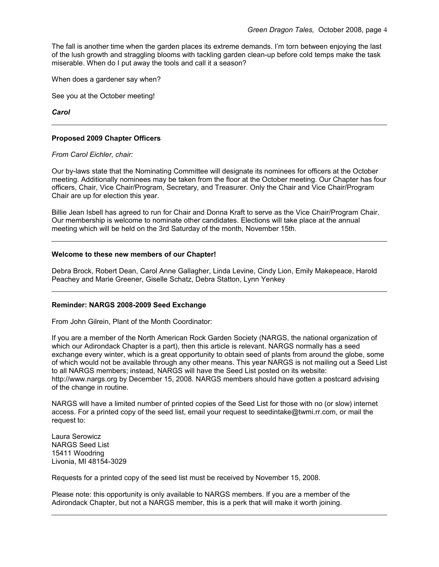The fall is another time when the garden places its extreme demands. I'm torn between enjoying the last of the lush growth and straggling blooms with tackling garden clean-up before cold temps make the task miserable. When do I put away the tools and call it a season?

When does a gardener say when?

See you at the October meeting!

*Carol* 

## **Proposed 2009 Chapter Officers**

#### *From Carol Eichler, chair:*

Our by-laws state that the Nominating Committee will designate its nominees for officers at the October meeting. Additionally nominees may be taken from the floor at the October meeting. Our Chapter has four officers, Chair, Vice Chair/Program, Secretary, and Treasurer. Only the Chair and Vice Chair/Program Chair are up for election this year. Green Dragon Tales, October 2008, page<br>
of the lush growth and straggling blooms with tackling garden clean-up before cold temps make the task<br>
miserable. When do I put away the tools and call it a season?<br>
When does a gar Green Dragon Teles, October 2008, pa<br>
of the lush growth and straggling blooms with dacking garden cleans. I'm ion between enjoying the las<br>
miserable. When do I put away the tools and call it a season?<br>
When does a garden

Our membership is welcome to nominate other candidates. Elections will take place at the annual meeting which will be held on the 3rd Saturday of the month, November 15th.

## **Welcome to these new members of our Chapter!**

Debra Brock, Robert Dean, Carol Anne Gallagher, Linda Levine, Cindy Lion, Emily Makepeace, Harold Peachey and Marie Greener, Giselle Schatz, Debra Statton, Lynn Yenkey

#### **Reminder: NARGS 2008-2009 Seed Exchange**

From John Gilrein, Plant of the Month Coordinator:

which our Adirondack Chapter is a part), then this article is relevant. NARGS normally has a seed exchange every winter, which is a great opportunity to obtain seed of plants from around the globe, some of which would not be available through any other means. This year NARGS is not mailing out a Seed List to all NARGS members; instead, NARGS will have the Seed List posted on its website: http://www.nargs.org by December 15, 2008. NARGS members should have gotten a postcard advising of the change in routine. Green Direct games time when the garden places its extreme dimension Traits, October 2008, paged of the last gow of an alternative bottom of the control of the Seed List for the Seed List for the Seed Viera of the Seed Vie Crear final is another fime when the garden places its extreme change or Tales,<br>
of the lash growth and principally blooms with labeling garden denta, fim for between<br>
metabolic Witer of principally bloods and colit is a s

access. For a printed copy of the seed list, email your request to seedintake@twmi.rr.com, or mail the request to:

Laura Serowicz NARGS Seed List 15411 Woodring Livonia, MI 48154-3029

Please note: this opportunity is only available to NARGS members. If you are a member of the Adirondack Chapter, but not a NARGS member, this is a perk that will make it worth joining.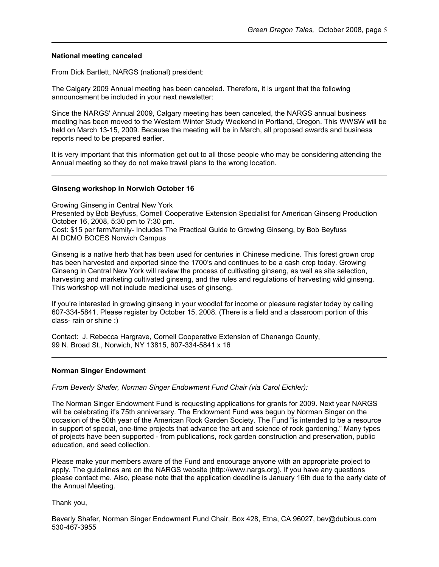#### **National meeting canceled**

From Dick Bartlett, NARGS (national) president:

The Calgary 2009 Annual meeting has been canceled. Therefore, it is urgent that the following announcement be included in your next newsletter: Green Dragon Tales, October 2008,<br> **Antional meeting canceled**<br>
From Dick Bartlett, NARGS (national) president:<br>
The Calgary 2009 Annual meeting has been canceled. Therefore, it is urgent that the following<br>
announcement b

meeting has been moved to the Western Winter Study Weekend in Portland, Oregon. This WWSW will be held on March 13-15, 2009. Because the meeting will be in March, all proposed awards and business reports need to be prepared earlier.

It is very important that this information get out to all those people who may be considering attending the Annual meeting so they do not make travel plans to the wrong location.

## **Ginseng workshop in Norwich October 16**

Growing Ginseng in Central New York

Presented by Bob Beyfuss, Cornell Cooperative Extension Specialist for American Ginseng Production October 16, 2008, 5:30 pm to 7:30 pm.

Cost: \$15 per farm/family- Includes The Practical Guide to Growing Ginseng, by Bob Beyfuss At DCMO BOCES Norwich Campus

Ginseng is a native herb that has been used for centuries in Chinese medicine. This forest grown crop has been harvested and exported since the 1700's and continues to be a cash crop today. Growing Ginseng in Central New York will review the process of cultivating ginseng, as well as site selection, harvesting and marketing cultivated ginseng, and the rules and regulations of harvesting wild ginseng. This workshop will not include medicinal uses of ginseng. Green Dragon Tales, October 2008, pa<br>
Tem Dick Bartlett, NARGS (national) president:<br>
The Calgary 2009 Amual meeting has been canceled. Therefore, it is urgent that the following<br>
announcement be included in your next news

607-334-5841. Please register by October 15, 2008. (There is a field and a classroom portion of this class- rain or shine :)

Contact: J. Rebecca Hargrave, Cornell Cooperative Extension of Chenango County, 99 N. Broad St., Norwich, NY 13815, 607-334-5841 x 16

#### **Norman Singer Endowment**

*From Beverly Shafer, Norman Singer Endowment Fund Chair (via Carol Eichler):*

The Norman Singer Endowment Fund is requesting applications for grants for 2009. Next year NARGS will be celebrating it's 75th anniversary. The Endowment Fund was begun by Norman Singer on the occasion of the 50th year of the American Rock Garden Society. The Fund "is intended to be a resource in support of special, one-time projects that advance the art and science of rock gardening." Many types of projects have been supported - from publications, rock garden construction and preservation, public education, and seed collection. Green Dragon Taies. Cookier 2008. Decrease makes makes a make your members away on the makes makes the Fund and encourage makes a makes the Fund and the Fund and the Fund and the Fund and the Fund and the Fund and encourag **National m**<br>
From Dick<br>
The Calgar<br>
announcer<br>
Since the Neeting ha<br>
held on Ma<br>
reports nee<br>
It is very im<br>
Annual mee<br> **Cinseng w**<br>
Growing Gi<br>
Corse of Presented October 16<br>
Cots: \$15 p At DCMO E<br>
Ginseng is<br>
harvestin

apply. The guidelines are on the NARGS website (http://www.nargs.org). If you have any questions please contact me. Also, please note that the application deadline is January 16th due to the early date of the Annual Meeting.

Beverly Shafer, Norman Singer Endowment Fund Chair, Box 428, Etna, CA 96027, bev@dubious.com 530-467-3955